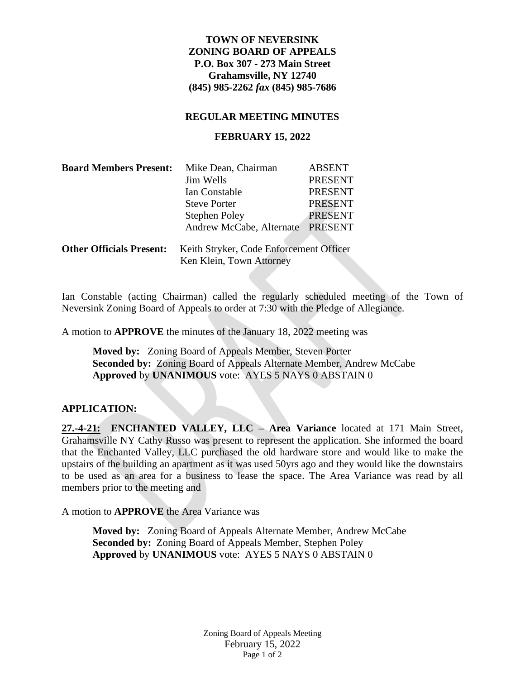# **TOWN OF NEVERSINK ZONING BOARD OF APPEALS P.O. Box 307 - 273 Main Street Grahamsville, NY 12740 (845) 985-2262** *fax* **(845) 985-7686**

### **REGULAR MEETING MINUTES**

## **FEBRUARY 15, 2022**

| <b>Board Members Present:</b>   | Mike Dean, Chairman                     | <b>ABSENT</b>  |  |
|---------------------------------|-----------------------------------------|----------------|--|
|                                 | Jim Wells                               | <b>PRESENT</b> |  |
|                                 | Ian Constable                           | <b>PRESENT</b> |  |
|                                 | <b>Steve Porter</b>                     | <b>PRESENT</b> |  |
|                                 | <b>Stephen Poley</b>                    | <b>PRESENT</b> |  |
|                                 | Andrew McCabe, Alternate                | <b>PRESENT</b> |  |
| <b>Other Officials Present:</b> | Keith Stryker, Code Enforcement Officer |                |  |
|                                 | Ken Klein, Town Attorney                |                |  |

Ian Constable (acting Chairman) called the regularly scheduled meeting of the Town of Neversink Zoning Board of Appeals to order at 7:30 with the Pledge of Allegiance.

A motion to **APPROVE** the minutes of the January 18, 2022 meeting was

**Moved by:** Zoning Board of Appeals Member, Steven Porter **Seconded by:** Zoning Board of Appeals Alternate Member, Andrew McCabe **Approved** by **UNANIMOUS** vote: AYES 5 NAYS 0 ABSTAIN 0

### **APPLICATION:**

**27.-4-21: ENCHANTED VALLEY, LLC – Area Variance** located at 171 Main Street, Grahamsville NY Cathy Russo was present to represent the application. She informed the board that the Enchanted Valley, LLC purchased the old hardware store and would like to make the upstairs of the building an apartment as it was used 50yrs ago and they would like the downstairs to be used as an area for a business to lease the space. The Area Variance was read by all members prior to the meeting and

A motion to **APPROVE** the Area Variance was

**Moved by:** Zoning Board of Appeals Alternate Member, Andrew McCabe **Seconded by:** Zoning Board of Appeals Member, Stephen Poley **Approved** by **UNANIMOUS** vote: AYES 5 NAYS 0 ABSTAIN 0

> Zoning Board of Appeals Meeting February 15, 2022 Page 1 of 2